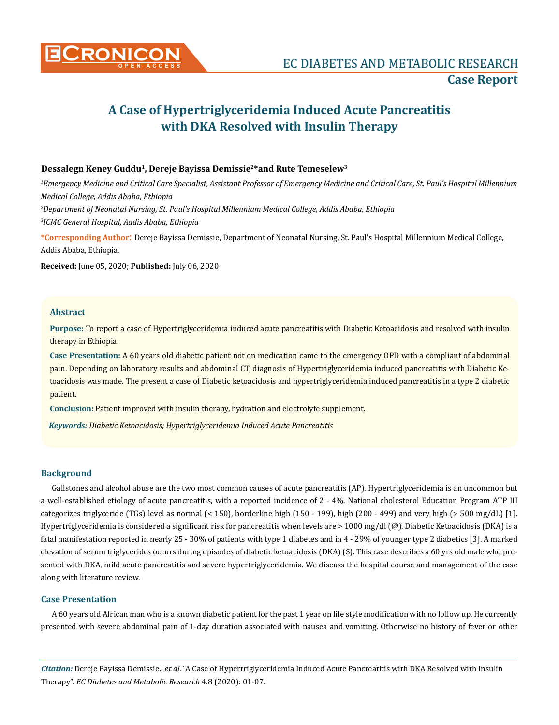

# **A Case of Hypertriglyceridemia Induced Acute Pancreatitis with DKA Resolved with Insulin Therapy**

## **Dessalegn Keney Guddu1, Dereje Bayissa Demissie2\*and Rute Temeselew3**

 *Emergency Medicine and Critical Care Specialist, Assistant Professor of Emergency Medicine and Critical Care, St. Paul's Hospital Millennium Medical College, Addis Ababa, Ethiopia Department of Neonatal Nursing, St. Paul's Hospital Millennium Medical College, Addis Ababa, Ethiopia ICMC General Hospital, Addis Ababa, Ethiopia*

**\*Corresponding Author**: Dereje Bayissa Demissie, Department of Neonatal Nursing, St. Paul's Hospital Millennium Medical College, Addis Ababa, Ethiopia.

**Received:** June 05, 2020; **Published:** July 06, 2020

## **Abstract**

**Purpose:** To report a case of Hypertriglyceridemia induced acute pancreatitis with Diabetic Ketoacidosis and resolved with insulin therapy in Ethiopia.

**Case Presentation:** A 60 years old diabetic patient not on medication came to the emergency OPD with a compliant of abdominal pain. Depending on laboratory results and abdominal CT, diagnosis of Hypertriglyceridemia induced pancreatitis with Diabetic Ketoacidosis was made. The present a case of Diabetic ketoacidosis and hypertriglyceridemia induced pancreatitis in a type 2 diabetic patient.

**Conclusion:** Patient improved with insulin therapy, hydration and electrolyte supplement.

*Keywords: Diabetic Ketoacidosis; Hypertriglyceridemia Induced Acute Pancreatitis*

## **Background**

Gallstones and alcohol abuse are the two most common causes of acute pancreatitis (AP). Hypertriglyceridemia is an uncommon but a well-established etiology of acute pancreatitis, with a reported incidence of 2 - 4%. National cholesterol Education Program ATP III categorizes triglyceride (TGs) level as normal (< 150), borderline high (150 - 199), high (200 - 499) and very high (> 500 mg/dL) [1]. Hypertriglyceridemia is considered a significant risk for pancreatitis when levels are > 1000 mg/dl (@). Diabetic Ketoacidosis (DKA) is a fatal manifestation reported in nearly 25 - 30% of patients with type 1 diabetes and in 4 - 29% of younger type 2 diabetics [3]. A marked elevation of serum triglycerides occurs during episodes of diabetic ketoacidosis (DKA) (\$). This case describes a 60 yrs old male who presented with DKA, mild acute pancreatitis and severe hypertriglyceridemia. We discuss the hospital course and management of the case along with literature review.

## **Case Presentation**

A 60 years old African man who is a known diabetic patient for the past 1 year on life style modification with no follow up. He currently presented with severe abdominal pain of 1-day duration associated with nausea and vomiting. Otherwise no history of fever or other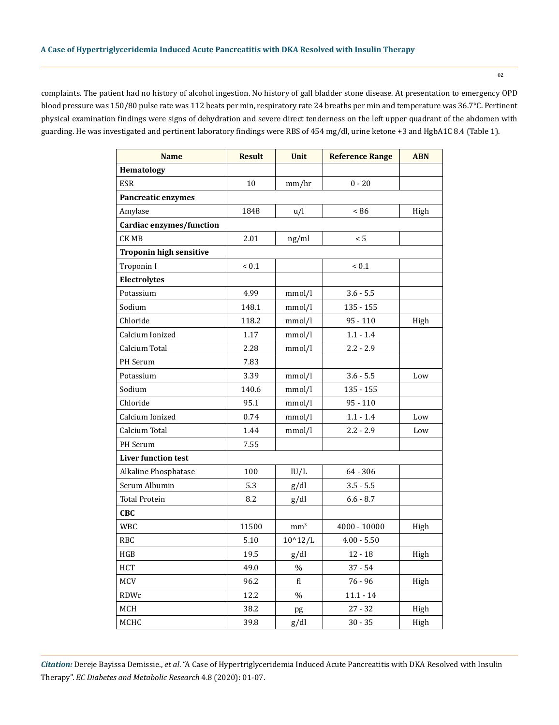complaints. The patient had no history of alcohol ingestion. No history of gall bladder stone disease. At presentation to emergency OPD blood pressure was 150/80 pulse rate was 112 beats per min, respiratory rate 24 breaths per min and temperature was 36.7°C. Pertinent physical examination findings were signs of dehydration and severe direct tenderness on the left upper quadrant of the abdomen with guarding. He was investigated and pertinent laboratory findings were RBS of 454 mg/dl, urine ketone +3 and HgbA1C 8.4 (Table 1).

| <b>Name</b>                    | <b>Result</b> | <b>Unit</b>     | <b>Reference Range</b> | <b>ABN</b> |
|--------------------------------|---------------|-----------------|------------------------|------------|
| <b>Hematology</b>              |               |                 |                        |            |
| <b>ESR</b>                     | 10            | mm/hr           | $0 - 20$               |            |
| <b>Pancreatic enzymes</b>      |               |                 |                        |            |
| Amylase                        | 1848          | u/l             | < 86                   | High       |
| Cardiac enzymes/function       |               |                 |                        |            |
| <b>CKMB</b>                    | 2.01          | ng/ml           | < 5                    |            |
| <b>Troponin high sensitive</b> |               |                 |                        |            |
| Troponin I                     | ${}_{0.1}$    |                 | ${}_{0.1}$             |            |
| Electrolytes                   |               |                 |                        |            |
| Potassium                      | 4.99          | mmol/l          | $3.6 - 5.5$            |            |
| Sodium                         | 148.1         | mmol/l          | $135 - 155$            |            |
| Chloride                       | 118.2         | mmol/l          | $95 - 110$             | High       |
| Calcium Ionized                | 1.17          | mmol/l          | $1.1 - 1.4$            |            |
| Calcium Total                  | 2.28          | mmol/l          | $2.2 - 2.9$            |            |
| PH Serum                       | 7.83          |                 |                        |            |
| Potassium                      | 3.39          | mmol/l          | $3.6 - 5.5$            | Low        |
| Sodium                         | 140.6         | mmol/l          | $135 - 155$            |            |
| Chloride                       | 95.1          | mmol/l          | $95 - 110$             |            |
| Calcium Ionized                | 0.74          | mmol/l          | $1.1 - 1.4$            | Low        |
| Calcium Total                  | 1.44          | mmol/l          | $2.2 - 2.9$            | Low        |
| <b>PH</b> Serum                | 7.55          |                 |                        |            |
| <b>Liver function test</b>     |               |                 |                        |            |
| Alkaline Phosphatase           | 100           | IU/L            | $64 - 306$             |            |
| Serum Albumin                  | 5.3           | g/dl            | $3.5 - 5.5$            |            |
| <b>Total Protein</b>           | 8.2           | g/dl            | $6.6 - 8.7$            |            |
| <b>CBC</b>                     |               |                 |                        |            |
| WBC                            | 11500         | mm <sup>3</sup> | 4000 - 10000           | High       |
| RBC                            | 5.10          | $10^{4}12/L$    | $4.00 - 5.50$          |            |
| HGB                            | 19.5          | g/dl            | $12 - 18$              | High       |
| HCT                            | 49.0          | $\%$            | $37 - 54$              |            |
| MCV                            | 96.2          | fl              | $76 - 96$              | High       |
| RDWc                           | 12.2          | $\%$            | $11.1 - 14$            |            |
| MCH                            | 38.2          | pg              | $27 - 32$              | High       |
| MCHC                           | 39.8          | g/dl            | $30 - 35$              | High       |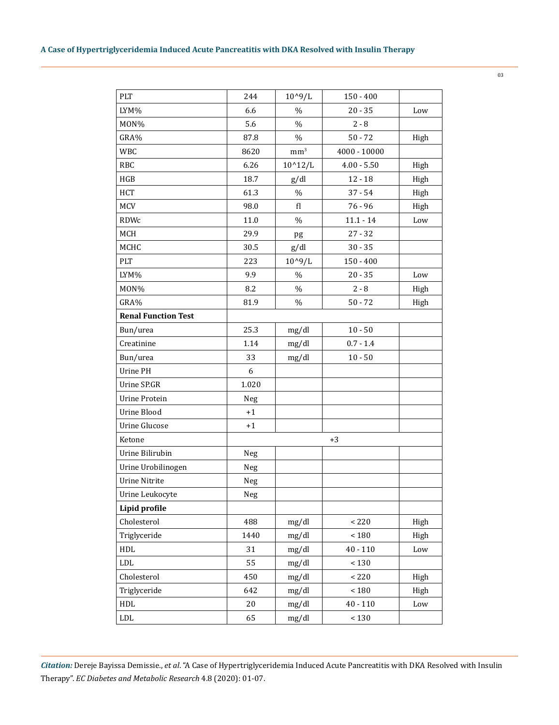| PLT                        | 244            | $10^{9}/L$      | $150 - 400$    |      |
|----------------------------|----------------|-----------------|----------------|------|
| LYM%                       | 6.6            | $\%$            | $20 - 35$      | Low  |
| MON%                       | 5.6            | $\%$            | $2 - 8$        |      |
| GRA%                       | 87.8           | $\%$            | $50 - 72$      | High |
| <b>WBC</b>                 | 8620           | mm <sup>3</sup> | $4000 - 10000$ |      |
| <b>RBC</b>                 | 6.26           | $10^{4}12/L$    | $4.00 - 5.50$  | High |
| HGB                        | 18.7           | g/dl            | $12 - 18$      | High |
| HCT                        | 61.3           | %               | $37 - 54$      | High |
| MCV                        | 98.0           | fl              | $76 - 96$      | High |
| <b>RDWc</b>                | 11.0           | $\%$            | $11.1 - 14$    | Low  |
| MCH                        | 29.9           | pg              | $27 - 32$      |      |
| MCHC                       | 30.5           | g/dl            | $30 - 35$      |      |
| PLT                        | 223            | $10^{9}/L$      | $150 - 400$    |      |
| LYM%                       | 9.9            | $\%$            | $20 - 35$      | Low  |
| MON%                       | 8.2            | $\%$            | $2 - 8$        | High |
| GRA%                       | 81.9           | $\%$            | $50 - 72$      | High |
| <b>Renal Function Test</b> |                |                 |                |      |
| Bun/urea                   | 25.3           | mg/dl           | $10 - 50$      |      |
| Creatinine                 | 1.14           | mg/dl           | $0.7 - 1.4$    |      |
| Bun/urea                   | 33             | mg/dl           | $10 - 50$      |      |
| Urine PH                   | 6              |                 |                |      |
| Urine SP.GR                | 1.020          |                 |                |      |
| <b>Urine Protein</b>       | Neg            |                 |                |      |
| Urine Blood                | $+1$           |                 |                |      |
| <b>Urine Glucose</b>       | $+1$           |                 |                |      |
| Ketone                     | $+3$           |                 |                |      |
| Urine Bilirubin            | Neg            |                 |                |      |
| Urine Urobilinogen         | Neg            |                 |                |      |
| <b>Urine Nitrite</b>       | Neg            |                 |                |      |
| Urine Leukocyte            | ${\hbox{Neg}}$ |                 |                |      |
| Lipid profile              |                |                 |                |      |
| Cholesterol                | 488            | mg/dl           | $<220$         | High |
| Triglyceride               | 1440           | mg/dl           | ${}_{<180}$    | High |
| $\operatorname{HDL}$       | 31             | mg/dl           | $40 - 110$     | Low  |
| ${\rm LDL}$                | 55             | mg/dl           | $<130\,$       |      |
| Cholesterol                | 450            | mg/dl           | < 220          | High |
| Triglyceride               | 642            | mg/dl           | $<180\,$       | High |
| $\operatorname{HDL}$       | 20             | mg/dl           | $40 - 110$     | Low  |
| ${\rm LDL}$                | 65             | mg/dl           | $<130\,$       |      |

03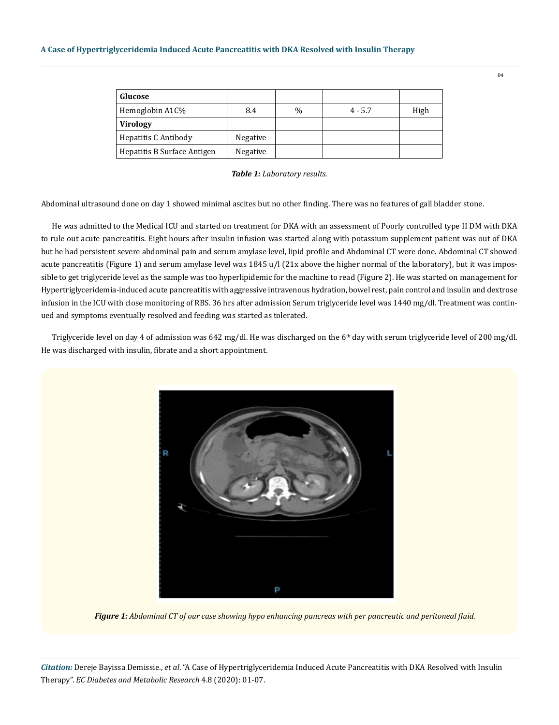| Glucose                     |          |               |           |      |
|-----------------------------|----------|---------------|-----------|------|
| Hemoglobin A1C%             | 8.4      | $\frac{0}{0}$ | $4 - 5.7$ | High |
| <b>Virology</b>             |          |               |           |      |
| Hepatitis C Antibody        | Negative |               |           |      |
| Hepatitis B Surface Antigen | Negative |               |           |      |

*Table 1: Laboratory results.*

Abdominal ultrasound done on day 1 showed minimal ascites but no other finding. There was no features of gall bladder stone.

He was admitted to the Medical ICU and started on treatment for DKA with an assessment of Poorly controlled type II DM with DKA to rule out acute pancreatitis. Eight hours after insulin infusion was started along with potassium supplement patient was out of DKA but he had persistent severe abdominal pain and serum amylase level, lipid profile and Abdominal CT were done. Abdominal CT showed acute pancreatitis (Figure 1) and serum amylase level was 1845 u/l (21x above the higher normal of the laboratory), but it was impossible to get triglyceride level as the sample was too hyperlipidemic for the machine to read (Figure 2). He was started on management for Hypertriglyceridemia-induced acute pancreatitis with aggressive intravenous hydration, bowel rest, pain control and insulin and dextrose infusion in the ICU with close monitoring of RBS. 36 hrs after admission Serum triglyceride level was 1440 mg/dl. Treatment was continued and symptoms eventually resolved and feeding was started as tolerated.

Triglyceride level on day 4 of admission was 642 mg/dl. He was discharged on the 6<sup>th</sup> day with serum triglyceride level of 200 mg/dl. He was discharged with insulin, fibrate and a short appointment.



*Figure 1: Abdominal CT of our case showing hypo enhancing pancreas with per pancreatic and peritoneal fluid.*

*Citation:* Dereje Bayissa Demissie., *et al*. "A Case of Hypertriglyceridemia Induced Acute Pancreatitis with DKA Resolved with Insulin Therapy". *EC Diabetes and Metabolic Research* 4.8 (2020): 01-07.

 $04$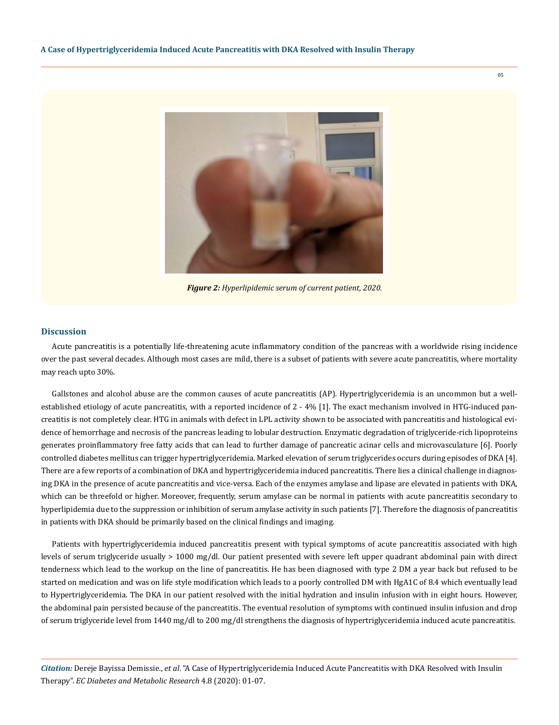

*Figure 2: Hyperlipidemic serum of current patient, 2020.*

#### **Discussion**

Acute pancreatitis is a potentially life-threatening acute inflammatory condition of the pancreas with a worldwide rising incidence over the past several decades. Although most cases are mild, there is a subset of patients with severe acute pancreatitis, where mortality may reach upto 30%.

Gallstones and alcohol abuse are the common causes of acute pancreatitis (AP). Hypertriglyceridemia is an uncommon but a wellestablished etiology of acute pancreatitis, with a reported incidence of 2 - 4% [1]. The exact mechanism involved in HTG-induced pancreatitis is not completely clear. HTG in animals with defect in LPL activity shown to be associated with pancreatitis and histological evidence of hemorrhage and necrosis of the pancreas leading to lobular destruction. Enzymatic degradation of triglyceride-rich lipoproteins generates proinflammatory free fatty acids that can lead to further damage of pancreatic acinar cells and microvasculature [6]. Poorly controlled diabetes mellitus can trigger hypertriglyceridemia. Marked elevation of serum triglycerides occurs during episodes of DKA [4]. There are a few reports of a combination of DKA and hypertriglyceridemia induced pancreatitis. There lies a clinical challenge in diagnosing DKA in the presence of acute pancreatitis and vice-versa. Each of the enzymes amylase and lipase are elevated in patients with DKA, which can be threefold or higher. Moreover, frequently, serum amylase can be normal in patients with acute pancreatitis secondary to hyperlipidemia due to the suppression or inhibition of serum amylase activity in such patients [7]. Therefore the diagnosis of pancreatitis in patients with DKA should be primarily based on the clinical findings and imaging.

Patients with hypertriglyceridemia induced pancreatitis present with typical symptoms of acute pancreatitis associated with high levels of serum triglyceride usually > 1000 mg/dl. Our patient presented with severe left upper quadrant abdominal pain with direct tenderness which lead to the workup on the line of pancreatitis. He has been diagnosed with type 2 DM a year back but refused to be started on medication and was on life style modification which leads to a poorly controlled DM with HgA1C of 8.4 which eventually lead to Hypertriglyceridemia. The DKA in our patient resolved with the initial hydration and insulin infusion with in eight hours. However, the abdominal pain persisted because of the pancreatitis. The eventual resolution of symptoms with continued insulin infusion and drop of serum triglyceride level from 1440 mg/dl to 200 mg/dl strengthens the diagnosis of hypertriglyceridemia induced acute pancreatitis.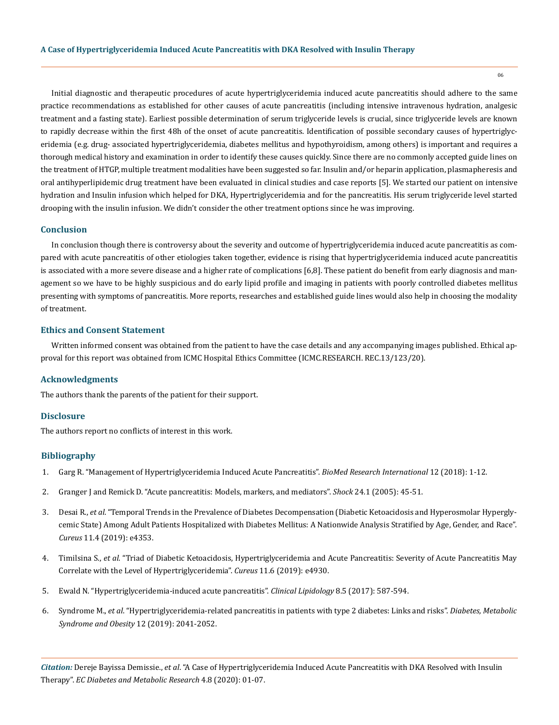Initial diagnostic and therapeutic procedures of acute hypertriglyceridemia induced acute pancreatitis should adhere to the same practice recommendations as established for other causes of acute pancreatitis (including intensive intravenous hydration, analgesic treatment and a fasting state). Earliest possible determination of serum triglyceride levels is crucial, since triglyceride levels are known to rapidly decrease within the first 48h of the onset of acute pancreatitis. Identification of possible secondary causes of hypertriglyceridemia (e.g. drug- associated hypertriglyceridemia, diabetes mellitus and hypothyroidism, among others) is important and requires a thorough medical history and examination in order to identify these causes quickly. Since there are no commonly accepted guide lines on the treatment of HTGP, multiple treatment modalities have been suggested so far. Insulin and/or heparin application, plasmapheresis and oral antihyperlipidemic drug treatment have been evaluated in clinical studies and case reports [5]. We started our patient on intensive hydration and Insulin infusion which helped for DKA, Hypertriglyceridemia and for the pancreatitis. His serum triglyceride level started drooping with the insulin infusion. We didn't consider the other treatment options since he was improving.

#### **Conclusion**

In conclusion though there is controversy about the severity and outcome of hypertriglyceridemia induced acute pancreatitis as compared with acute pancreatitis of other etiologies taken together, evidence is rising that hypertriglyceridemia induced acute pancreatitis is associated with a more severe disease and a higher rate of complications [6,8]. These patient do benefit from early diagnosis and management so we have to be highly suspicious and do early lipid profile and imaging in patients with poorly controlled diabetes mellitus presenting with symptoms of pancreatitis. More reports, researches and established guide lines would also help in choosing the modality of treatment.

#### **Ethics and Consent Statement**

Written informed consent was obtained from the patient to have the case details and any accompanying images published. Ethical approval for this report was obtained from ICMC Hospital Ethics Committee (ICMC.RESEARCH. REC.13/123/20).

#### **Acknowledgments**

The authors thank the parents of the patient for their support.

# **Disclosure**

The authors report no conflicts of interest in this work.

#### **Bibliography**

- 1. [Garg R. "Management of Hypertriglyceridemia Induced Acute Pancreatitis".](https://www.researchgate.net/publication/326640650_Management_of_Hypertriglyceridemia_Induced_Acute_Pancreatitis) *BioMed Research International* 12 (2018): 1-12.
- 2. [Granger J and Remick D. "Acute pancreatitis: Models, markers, and mediators".](https://pubmed.ncbi.nlm.nih.gov/16374372/) *Shock* 24.1 (2005): 45-51.
- 3. Desai R., *et al*[. "Temporal Trends in the Prevalence of Diabetes Decompensation \(Diabetic Ketoacidosis and Hyperosmolar Hypergly](https://pubmed.ncbi.nlm.nih.gov/31192058/)[cemic State\) Among Adult Patients Hospitalized with Diabetes Mellitus: A Nationwide Analysis Stratified by Age, Gender, and Race".](https://pubmed.ncbi.nlm.nih.gov/31192058/) *Cureus* [11.4 \(2019\): e4353.](https://pubmed.ncbi.nlm.nih.gov/31192058/)
- 4. Timilsina S., *et al*[. "Triad of Diabetic Ketoacidosis, Hypertriglyceridemia and Acute Pancreatitis: Severity of Acute Pancreatitis May](https://pubmed.ncbi.nlm.nih.gov/31431836/) [Correlate with the Level of Hypertriglyceridemia".](https://pubmed.ncbi.nlm.nih.gov/31431836/) *Cureus* 11.6 (2019): e4930.
- 5. [Ewald N. "Hypertriglyceridemia-induced acute pancreatitis".](https://www.tandfonline.com/doi/pdf/10.2217/clp.13.44) *Clinical Lipidology* 8.5 (2017): 587-594.
- 6. Syndrome M., *et al*[. "Hypertriglyceridemia-related pancreatitis in patients with type 2 diabetes: Links and risks".](https://www.ncbi.nlm.nih.gov/pmc/articles/PMC6789969/) *Diabetes, Metabolic [Syndrome and Obesity](https://www.ncbi.nlm.nih.gov/pmc/articles/PMC6789969/)* 12 (2019): 2041-2052.

*Citation:* Dereje Bayissa Demissie., *et al*. "A Case of Hypertriglyceridemia Induced Acute Pancreatitis with DKA Resolved with Insulin Therapy". *EC Diabetes and Metabolic Research* 4.8 (2020): 01-07.

06